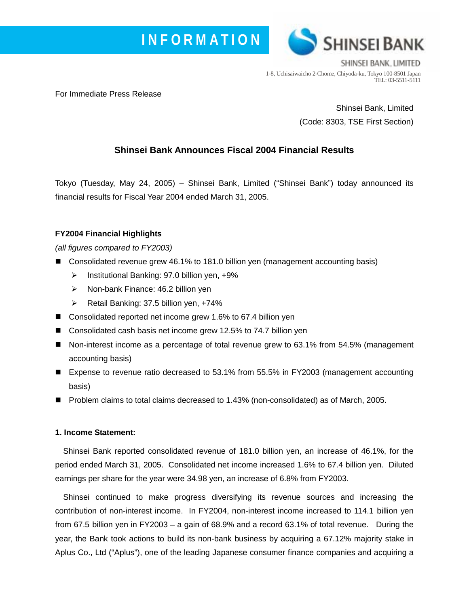



SHINSEI BANK, LIMITED 1-8, Uchisaiwaicho 2-Chome, Chiyoda-ku, Tokyo 100-8501 Japan TEL: 03-5511-5111

For Immediate Press Release

Shinsei Bank, Limited (Code: 8303, TSE First Section)

## **Shinsei Bank Announces Fiscal 2004 Financial Results**

Tokyo (Tuesday, May 24, 2005) – Shinsei Bank, Limited ("Shinsei Bank") today announced its financial results for Fiscal Year 2004 ended March 31, 2005.

### **FY2004 Financial Highlights**

*(all figures compared to FY2003)* 

- Consolidated revenue grew 46.1% to 181.0 billion yen (management accounting basis)
	- $\triangleright$  Institutional Banking: 97.0 billion yen,  $+9\%$
	- ¾ Non-bank Finance: 46.2 billion yen
	- ¾ Retail Banking: 37.5 billion yen, +74%
- Consolidated reported net income grew 1.6% to 67.4 billion yen
- Consolidated cash basis net income grew 12.5% to 74.7 billion yen
- Non-interest income as a percentage of total revenue grew to 63.1% from 54.5% (management accounting basis)
- Expense to revenue ratio decreased to 53.1% from 55.5% in FY2003 (management accounting basis)
- Problem claims to total claims decreased to 1.43% (non-consolidated) as of March, 2005.

### **1. Income Statement:**

Shinsei Bank reported consolidated revenue of 181.0 billion yen, an increase of 46.1%, for the period ended March 31, 2005. Consolidated net income increased 1.6% to 67.4 billion yen. Diluted earnings per share for the year were 34.98 yen, an increase of 6.8% from FY2003.

Shinsei continued to make progress diversifying its revenue sources and increasing the contribution of non-interest income. In FY2004, non-interest income increased to 114.1 billion yen from 67.5 billion yen in FY2003 – a gain of 68.9% and a record 63.1% of total revenue. During the year, the Bank took actions to build its non-bank business by acquiring a 67.12% majority stake in Aplus Co., Ltd ("Aplus"), one of the leading Japanese consumer finance companies and acquiring a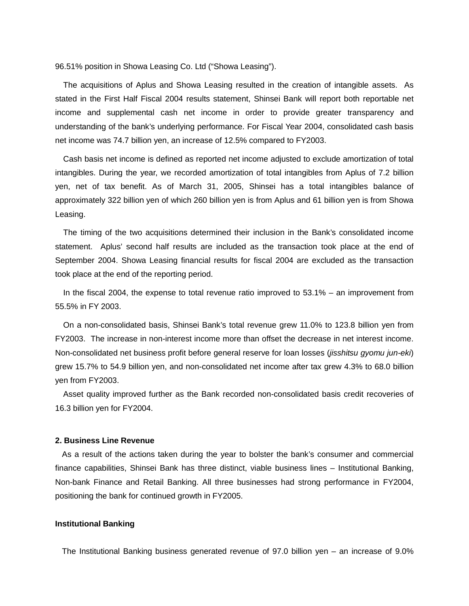96.51% position in Showa Leasing Co. Ltd ("Showa Leasing").

The acquisitions of Aplus and Showa Leasing resulted in the creation of intangible assets. As stated in the First Half Fiscal 2004 results statement, Shinsei Bank will report both reportable net income and supplemental cash net income in order to provide greater transparency and understanding of the bank's underlying performance. For Fiscal Year 2004, consolidated cash basis net income was 74.7 billion yen, an increase of 12.5% compared to FY2003.

Cash basis net income is defined as reported net income adjusted to exclude amortization of total intangibles. During the year, we recorded amortization of total intangibles from Aplus of 7.2 billion yen, net of tax benefit. As of March 31, 2005, Shinsei has a total intangibles balance of approximately 322 billion yen of which 260 billion yen is from Aplus and 61 billion yen is from Showa Leasing.

The timing of the two acquisitions determined their inclusion in the Bank's consolidated income statement. Aplus' second half results are included as the transaction took place at the end of September 2004. Showa Leasing financial results for fiscal 2004 are excluded as the transaction took place at the end of the reporting period.

In the fiscal 2004, the expense to total revenue ratio improved to 53.1% – an improvement from 55.5% in FY 2003.

On a non-consolidated basis, Shinsei Bank's total revenue grew 11.0% to 123.8 billion yen from FY2003. The increase in non-interest income more than offset the decrease in net interest income. Non-consolidated net business profit before general reserve for loan losses (*jisshitsu gyomu jun-eki*) grew 15.7% to 54.9 billion yen, and non-consolidated net income after tax grew 4.3% to 68.0 billion yen from FY2003.

Asset quality improved further as the Bank recorded non-consolidated basis credit recoveries of 16.3 billion yen for FY2004.

### **2. Business Line Revenue**

As a result of the actions taken during the year to bolster the bank's consumer and commercial finance capabilities, Shinsei Bank has three distinct, viable business lines – Institutional Banking, Non-bank Finance and Retail Banking. All three businesses had strong performance in FY2004, positioning the bank for continued growth in FY2005.

### **Institutional Banking**

The Institutional Banking business generated revenue of 97.0 billion yen – an increase of 9.0%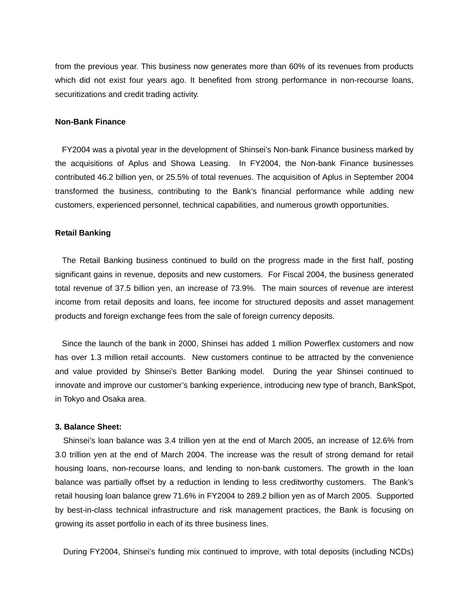from the previous year. This business now generates more than 60% of its revenues from products which did not exist four years ago. It benefited from strong performance in non-recourse loans, securitizations and credit trading activity.

### **Non-Bank Finance**

FY2004 was a pivotal year in the development of Shinsei's Non-bank Finance business marked by the acquisitions of Aplus and Showa Leasing. In FY2004, the Non-bank Finance businesses contributed 46.2 billion yen, or 25.5% of total revenues. The acquisition of Aplus in September 2004 transformed the business, contributing to the Bank's financial performance while adding new customers, experienced personnel, technical capabilities, and numerous growth opportunities.

### **Retail Banking**

The Retail Banking business continued to build on the progress made in the first half, posting significant gains in revenue, deposits and new customers. For Fiscal 2004, the business generated total revenue of 37.5 billion yen, an increase of 73.9%. The main sources of revenue are interest income from retail deposits and loans, fee income for structured deposits and asset management products and foreign exchange fees from the sale of foreign currency deposits.

Since the launch of the bank in 2000, Shinsei has added 1 million Powerflex customers and now has over 1.3 million retail accounts. New customers continue to be attracted by the convenience and value provided by Shinsei's Better Banking model. During the year Shinsei continued to innovate and improve our customer's banking experience, introducing new type of branch, BankSpot, in Tokyo and Osaka area.

#### **3. Balance Sheet:**

Shinsei's loan balance was 3.4 trillion yen at the end of March 2005, an increase of 12.6% from 3.0 trillion yen at the end of March 2004. The increase was the result of strong demand for retail housing loans, non-recourse loans, and lending to non-bank customers. The growth in the loan balance was partially offset by a reduction in lending to less creditworthy customers. The Bank's retail housing loan balance grew 71.6% in FY2004 to 289.2 billion yen as of March 2005. Supported by best-in-class technical infrastructure and risk management practices, the Bank is focusing on growing its asset portfolio in each of its three business lines.

During FY2004, Shinsei's funding mix continued to improve, with total deposits (including NCDs)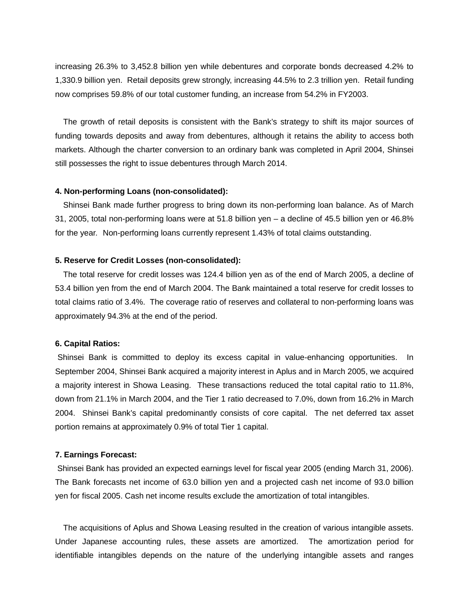increasing 26.3% to 3,452.8 billion yen while debentures and corporate bonds decreased 4.2% to 1,330.9 billion yen. Retail deposits grew strongly, increasing 44.5% to 2.3 trillion yen. Retail funding now comprises 59.8% of our total customer funding, an increase from 54.2% in FY2003.

The growth of retail deposits is consistent with the Bank's strategy to shift its major sources of funding towards deposits and away from debentures, although it retains the ability to access both markets. Although the charter conversion to an ordinary bank was completed in April 2004, Shinsei still possesses the right to issue debentures through March 2014.

### **4. Non-performing Loans (non-consolidated):**

Shinsei Bank made further progress to bring down its non-performing loan balance. As of March 31, 2005, total non-performing loans were at 51.8 billion yen – a decline of 45.5 billion yen or 46.8% for the year. Non-performing loans currently represent 1.43% of total claims outstanding.

### **5. Reserve for Credit Losses (non-consolidated):**

The total reserve for credit losses was 124.4 billion yen as of the end of March 2005, a decline of 53.4 billion yen from the end of March 2004. The Bank maintained a total reserve for credit losses to total claims ratio of 3.4%. The coverage ratio of reserves and collateral to non-performing loans was approximately 94.3% at the end of the period.

### **6. Capital Ratios:**

Shinsei Bank is committed to deploy its excess capital in value-enhancing opportunities. In September 2004, Shinsei Bank acquired a majority interest in Aplus and in March 2005, we acquired a majority interest in Showa Leasing. These transactions reduced the total capital ratio to 11.8%, down from 21.1% in March 2004, and the Tier 1 ratio decreased to 7.0%, down from 16.2% in March 2004. Shinsei Bank's capital predominantly consists of core capital. The net deferred tax asset portion remains at approximately 0.9% of total Tier 1 capital.

#### **7. Earnings Forecast:**

Shinsei Bank has provided an expected earnings level for fiscal year 2005 (ending March 31, 2006). The Bank forecasts net income of 63.0 billion yen and a projected cash net income of 93.0 billion yen for fiscal 2005. Cash net income results exclude the amortization of total intangibles.

The acquisitions of Aplus and Showa Leasing resulted in the creation of various intangible assets. Under Japanese accounting rules, these assets are amortized. The amortization period for identifiable intangibles depends on the nature of the underlying intangible assets and ranges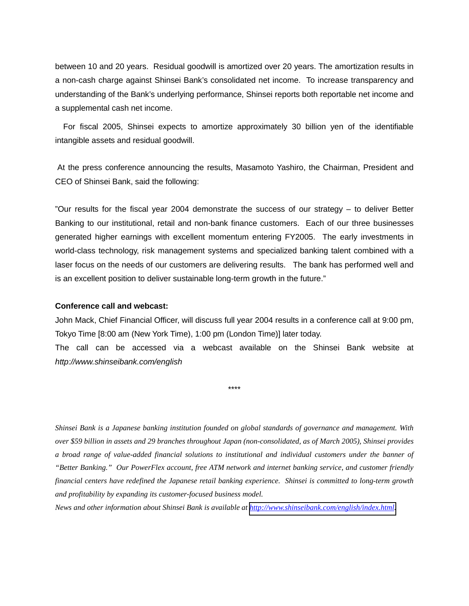between 10 and 20 years. Residual goodwill is amortized over 20 years. The amortization results in a non-cash charge against Shinsei Bank's consolidated net income. To increase transparency and understanding of the Bank's underlying performance, Shinsei reports both reportable net income and a supplemental cash net income.

For fiscal 2005, Shinsei expects to amortize approximately 30 billion yen of the identifiable intangible assets and residual goodwill.

At the press conference announcing the results, Masamoto Yashiro, the Chairman, President and CEO of Shinsei Bank, said the following:

"Our results for the fiscal year 2004 demonstrate the success of our strategy – to deliver Better Banking to our institutional, retail and non-bank finance customers. Each of our three businesses generated higher earnings with excellent momentum entering FY2005. The early investments in world-class technology, risk management systems and specialized banking talent combined with a laser focus on the needs of our customers are delivering results. The bank has performed well and is an excellent position to deliver sustainable long-term growth in the future."

#### **Conference call and webcast:**

John Mack, Chief Financial Officer, will discuss full year 2004 results in a conference call at 9:00 pm, Tokyo Time [8:00 am (New York Time), 1:00 pm (London Time)] later today.

The call can be accessed via a webcast available on the Shinsei Bank website at *http://www.shinseibank.com/english*

\*\*\*\*

*Shinsei Bank is a Japanese banking institution founded on global standards of governance and management. With over \$59 billion in assets and 29 branches throughout Japan (non-consolidated, as of March 2005), Shinsei provides a broad range of value-added financial solutions to institutional and individual customers under the banner of "Better Banking." Our PowerFlex account, free ATM network and internet banking service, and customer friendly financial centers have redefined the Japanese retail banking experience. Shinsei is committed to long-term growth and profitability by expanding its customer-focused business model.* 

*News and other information about Shinsei Bank is available at [http://www.shinseibank.com/english/index.html.](http://www.shinseibank.com/english/index.html)*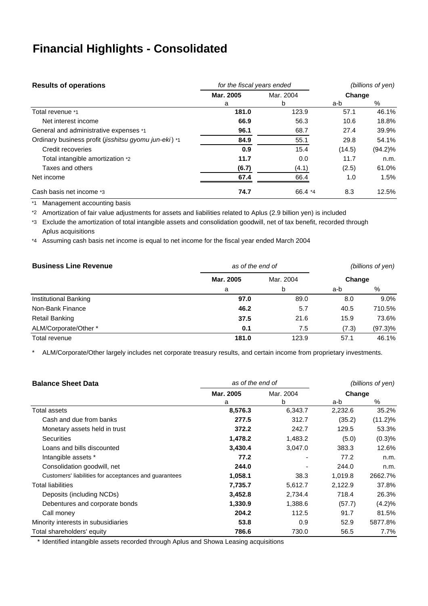# **Financial Highlights - Consolidated**

| <b>Results of operations</b>                          | for the fiscal years ended | (billions of yen) |        |            |  |
|-------------------------------------------------------|----------------------------|-------------------|--------|------------|--|
|                                                       | Mar. 2005                  | Mar. 2004         | Change |            |  |
|                                                       | a                          | b                 | a-b    | %          |  |
| Total revenue *1                                      | 181.0                      | 123.9             | 57.1   | 46.1%      |  |
| Net interest income                                   | 66.9                       | 56.3              | 10.6   | 18.8%      |  |
| General and administrative expenses *1                | 96.1                       | 68.7              | 27.4   | 39.9%      |  |
| Ordinary business profit (jisshitsu gyomu jun-eki) *1 | 84.9                       | 55.1              | 29.8   | 54.1%      |  |
| Credit recoveries                                     | 0.9                        | 15.4              | (14.5) | $(94.2)\%$ |  |
| Total intangible amortization *2                      | 11.7                       | 0.0               | 11.7   | n.m.       |  |
| Taxes and others                                      | (6.7)                      | (4.1)             | (2.5)  | 61.0%      |  |
| Net income                                            | 67.4                       | 66.4              | 1.0    | 1.5%       |  |
| Cash basis net income *3                              | 74.7                       | 66.4 *4           | 8.3    | 12.5%      |  |

\*1 Management accounting basis

\*2 Amortization of fair value adjustments for assets and liabilities related to Aplus (2.9 billion yen) is included

\*3 Exclude the amortization of total intangible assets and consolidation goodwill, net of tax benefit, recorded through Aplus acquisitions

\*4 Assuming cash basis net income is equal to net income for the fiscal year ended March 2004

| <b>Business Line Revenue</b> | as of the end of | (billions of yen) |        |            |  |
|------------------------------|------------------|-------------------|--------|------------|--|
|                              | Mar. 2005        | Mar. 2004         | Change |            |  |
|                              | a                | b                 | a-b    | %          |  |
| Institutional Banking        | 97.0             | 89.0              | 8.0    | 9.0%       |  |
| Non-Bank Finance             | 46.2             | 5.7               | 40.5   | 710.5%     |  |
| Retail Banking               | 37.5             | 21.6              | 15.9   | 73.6%      |  |
| ALM/Corporate/Other *        | 0.1              | 7.5               | (7.3)  | $(97.3)\%$ |  |
| Total revenue                | 181.0            | 123.9             | 57.1   | 46.1%      |  |

\* ALM/Corporate/Other largely includes net corporate treasury results, and certain income from proprietary investments.

| <b>Balance Sheet Data</b>                             | as of the end of | (billions of yen) |         |            |
|-------------------------------------------------------|------------------|-------------------|---------|------------|
|                                                       | Mar. 2005        | Mar. 2004         | Change  |            |
|                                                       | a                | b                 | a-b     | %          |
| Total assets                                          | 8,576.3          | 6,343.7           | 2,232.6 | 35.2%      |
| Cash and due from banks                               | 277.5            | 312.7             | (35.2)  | $(11.2)\%$ |
| Monetary assets held in trust                         | 372.2            | 242.7             | 129.5   | 53.3%      |
| Securities                                            | 1,478.2          | 1,483.2           | (5.0)   | (0.3)%     |
| Loans and bills discounted                            | 3,430.4          | 3,047.0           | 383.3   | 12.6%      |
| Intangible assets *                                   | 77.2             |                   | 77.2    | n.m.       |
| Consolidation goodwill, net                           | 244.0            |                   | 244.0   | n.m.       |
| Customers' liabilities for acceptances and guarantees | 1,058.1          | 38.3              | 1,019.8 | 2662.7%    |
| <b>Total liabilities</b>                              | 7,735.7          | 5,612.7           | 2,122.9 | 37.8%      |
| Deposits (including NCDs)                             | 3,452.8          | 2,734.4           | 718.4   | 26.3%      |
| Debentures and corporate bonds                        | 1,330.9          | 1,388.6           | (57.7)  | (4.2)%     |
| Call money                                            | 204.2            | 112.5             | 91.7    | 81.5%      |
| Minority interests in subusidiaries                   | 53.8             | 0.9               | 52.9    | 5877.8%    |
| Total shareholders' equity                            | 786.6            | 730.0             | 56.5    | 7.7%       |

\* Identified intangible assets recorded through Aplus and Showa Leasing acquisitions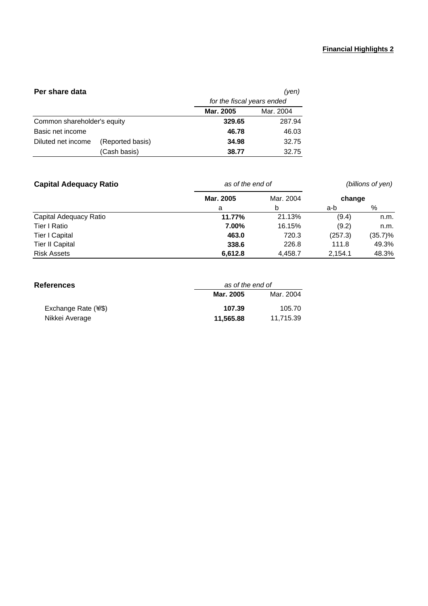### **Financial Highlights 2**

| Per share data<br>(yen)     |                  |                            |           |
|-----------------------------|------------------|----------------------------|-----------|
|                             |                  | for the fiscal years ended |           |
|                             |                  | <b>Mar. 2005</b>           | Mar. 2004 |
| Common shareholder's equity |                  | 329.65                     | 287.94    |
| Basic net income            |                  | 46.78                      | 46.03     |
| Diluted net income          | (Reported basis) | 34.98                      | 32.75     |
|                             | (Cash basis)     | 38.77                      | 32.75     |

| <b>Capital Adequacy Ratio</b> | as of the end of | (billions of yen) |         |         |  |
|-------------------------------|------------------|-------------------|---------|---------|--|
|                               | Mar. 2005        | Mar. 2004         | change  |         |  |
|                               | а                | b                 | a-b     | %       |  |
| Capital Adequacy Ratio        | 11.77%           | 21.13%            | (9.4)   | n.m.    |  |
| Tier I Ratio                  | 7.00%            | 16.15%            | (9.2)   | n.m.    |  |
| <b>Tier I Capital</b>         | 463.0            | 720.3             | (257.3) | (35.7)% |  |
| <b>Tier II Capital</b>        | 338.6            | 226.8             | 111.8   | 49.3%   |  |
| <b>Risk Assets</b>            | 6,612.8          | 4,458.7           | 2.154.1 | 48.3%   |  |

| <b>References</b>          | as of the end of |           |
|----------------------------|------------------|-----------|
|                            | Mar. 2005        | Mar. 2004 |
| Exchange Rate $(\sqrt{s})$ | 107.39           | 105.70    |
| Nikkei Average             | 11,565.88        | 11.715.39 |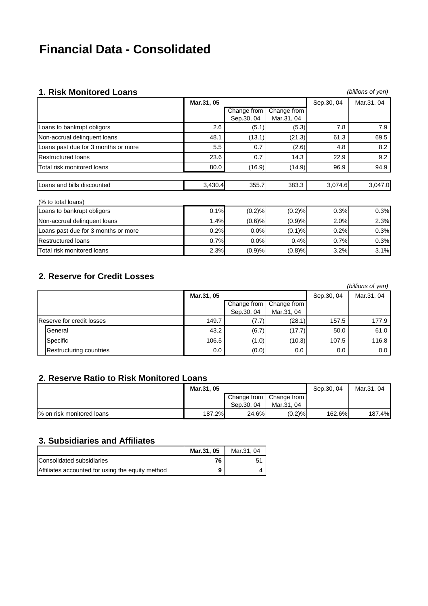# **Financial Data - Consolidated**

## **1. Risk Monitored Loans** *(billions of yen)*

|            |             | .\;o;\ .\;\o;;;;\o; ou evu;;o                             |                  |            |  |
|------------|-------------|-----------------------------------------------------------|------------------|------------|--|
| Mar.31, 05 |             |                                                           | Sep.30, 04       | Mar.31, 04 |  |
|            | Change from | Change from                                               |                  |            |  |
|            | Sep.30, 04  | Mar.31, 04                                                |                  |            |  |
| 2.6        | (5.1)       | (5.3)                                                     | 7.8              | 7.9        |  |
| 48.1       | (13.1)      | (21.3)                                                    | 61.3             | 69.5       |  |
| 5.5        | 0.7         | (2.6)                                                     | 4.8              | 8.2        |  |
| 23.6       | 0.7         | 14.3                                                      | 22.9             | 9.2        |  |
| 80.0       | (16.9)      | (14.9)                                                    | 96.9             | 94.9       |  |
|            |             |                                                           |                  |            |  |
|            | 355.7       | 383.3                                                     | 3,074.6          | 3,047.0    |  |
|            |             |                                                           |                  |            |  |
|            |             | (0.2)%                                                    | 0.3%             | 0.3%       |  |
|            |             | (0.9)%                                                    | 2.0%             | 2.3%       |  |
| 0.2%       | 0.0%        | (0.1)%                                                    | 0.2%             | 0.3%       |  |
|            |             | 0.4%                                                      | 0.7%             | 0.3%       |  |
|            |             | (0.8)%                                                    | 3.2%             | 3.1%       |  |
|            |             | 3,430.4<br>0.1%<br>1.4%<br>0.7%<br>0.0%<br>2.3%<br>(0.9)% | (0.2)%<br>(0.6)% |            |  |

## **2. Reserve for Credit Losses**

|                           |            |                           |                           |            | (billions of yen) |
|---------------------------|------------|---------------------------|---------------------------|------------|-------------------|
|                           | Mar.31, 05 |                           |                           | Sep.30, 04 | Mar.31, 04        |
|                           |            | Change from<br>Sep.30, 04 | Change from<br>Mar.31, 04 |            |                   |
| Reserve for credit losses | 149.7      | (7.7)                     | (28.1)                    | 157.5      | 177.9             |
| General                   | 43.2       | (6.7)                     | (17.7)                    | 50.0       | 61.0              |
| Specific                  | 106.5      | (1.0)                     | (10.3)                    | 107.5      | 116.8             |
| Restructuring countries   | $0.0\,$    | (0.0)                     | $0.0\,$                   | 0.0        | 0.0               |

# **2. Reserve Ratio to Risk Monitored Loans**

|                           | Mar.31, 05 |            |                                         | Sep.30, 04 | Mar.31, 04 |
|---------------------------|------------|------------|-----------------------------------------|------------|------------|
|                           |            | Sep.30, 04 | Change from   Change from<br>Mar.31, 04 |            |            |
|                           |            |            |                                         |            |            |
| % on risk monitored loans | 187.2%     | 24.6%      | $(0.2)$ %                               | 162.6%     | 187.4%     |

## **3. Subsidiaries and Affiliates**

|                                                  | Mar.31, 05 | Mar.31, 04 |
|--------------------------------------------------|------------|------------|
| Consolidated subsidiaries                        | 76         | 5          |
| Affiliates accounted for using the equity method | 9          |            |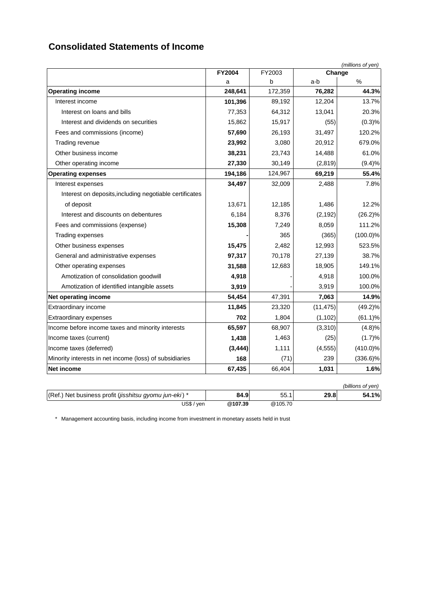# **Consolidated Statements of Income**

| (millions of yen)                                       |               |         |           |                   |
|---------------------------------------------------------|---------------|---------|-----------|-------------------|
|                                                         | <b>FY2004</b> | FY2003  | Change    |                   |
|                                                         | a             | b       | a-b       | %                 |
| <b>Operating income</b>                                 | 248,641       | 172,359 | 76,282    | 44.3%             |
| Interest income                                         | 101,396       | 89,192  | 12,204    | 13.7%             |
| Interest on loans and bills                             | 77,353        | 64,312  | 13,041    | 20.3%             |
| Interest and dividends on securities                    | 15,862        | 15,917  | (55)      | (0.3)%            |
| Fees and commissions (income)                           | 57,690        | 26,193  | 31,497    | 120.2%            |
| Trading revenue                                         | 23,992        | 3,080   | 20,912    | 679.0%            |
| Other business income                                   | 38,231        | 23,743  | 14,488    | 61.0%             |
| Other operating income                                  | 27,330        | 30,149  | (2,819)   | (9.4)%            |
| <b>Operating expenses</b>                               | 194,186       | 124,967 | 69,219    | 55.4%             |
| Interest expenses                                       | 34,497        | 32,009  | 2,488     | 7.8%              |
| Interest on deposits, including negotiable certificates |               |         |           |                   |
| of deposit                                              | 13,671        | 12,185  | 1,486     | 12.2%             |
| Interest and discounts on debentures                    | 6,184         | 8,376   | (2, 192)  | $(26.2)\%$        |
| Fees and commissions (expense)                          | 15,308        | 7,249   | 8,059     | 111.2%            |
| Trading expenses                                        |               | 365     | (365)     | $(100.0)\%$       |
| Other business expenses                                 | 15,475        | 2,482   | 12,993    | 523.5%            |
| General and administrative expenses                     | 97,317        | 70,178  | 27,139    | 38.7%             |
| Other operating expenses                                | 31,588        | 12,683  | 18,905    | 149.1%            |
| Amotization of consolidation goodwill                   | 4,918         |         | 4,918     | 100.0%            |
| Amotization of identified intangible assets             | 3,919         |         | 3,919     | 100.0%            |
| Net operating income                                    | 54,454        | 47,391  | 7,063     | 14.9%             |
| Extraordinary income                                    | 11,845        | 23,320  | (11, 475) | $(49.2)\%$        |
| <b>Extraordinary expenses</b>                           | 702           | 1,804   | (1, 102)  | $(61.1)\%$        |
| Income before income taxes and minority interests       | 65,597        | 68,907  | (3,310)   | (4.8)%            |
| Income taxes (current)                                  | 1,438         | 1,463   | (25)      | (1.7)%            |
| Income taxes (deferred)                                 | (3, 444)      | 1,111   | (4, 555)  | $(410.0)\%$       |
| Minority interests in net income (loss) of subsidiaries | 168           | (71)    | 239       | $(336.6)\%$       |
| Net income                                              | 67,435        | 66,404  | 1,031     | 1.6%              |
|                                                         |               |         |           | (billions of yen) |
| (Ref.) Net business profit (jisshitsu gyomu jun-eki) *  | 84.9          | 55.1    | 29.8      | 54.1%             |
| US\$ / yen                                              | @107.39       | @105.70 |           |                   |

\* Management accounting basis, including income from investment in monetary assets held in trust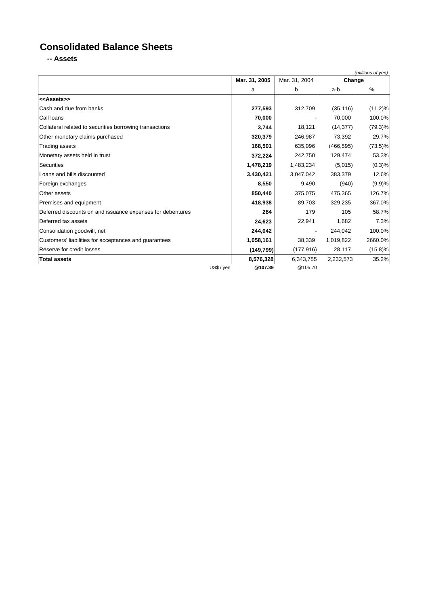# **Consolidated Balance Sheets**

**-- Assets**

|                                                            |                       |               |            | (millions of yen) |
|------------------------------------------------------------|-----------------------|---------------|------------|-------------------|
|                                                            | Mar. 31, 2005         | Mar. 31, 2004 | Change     |                   |
|                                                            | a                     | b             | a-b        | $\%$              |
| < <assets>&gt;</assets>                                    |                       |               |            |                   |
| Cash and due from banks                                    | 277,593               | 312,709       | (35, 116)  | $(11.2)\%$        |
| Call Ioans                                                 | 70,000                |               | 70,000     | 100.0%            |
| Collateral related to securities borrowing transactions    | 3,744                 | 18,121        | (14, 377)  | $(79.3)\%$        |
| Other monetary claims purchased                            | 320,379               | 246,987       | 73,392     | 29.7%             |
| <b>Trading assets</b>                                      | 168,501               | 635,096       | (466, 595) | $(73.5)\%$        |
| Monetary assets held in trust                              | 372,224               | 242,750       | 129,474    | 53.3%             |
| <b>Securities</b>                                          | 1,478,219             | 1,483,234     | (5,015)    | (0.3)%            |
| Loans and bills discounted                                 | 3,430,421             | 3,047,042     | 383,379    | 12.6%             |
| Foreign exchanges                                          | 8,550                 | 9,490         | (940)      | (9.9)%            |
| Other assets                                               | 850,440               | 375,075       | 475,365    | 126.7%            |
| Premises and equipment                                     | 418,938               | 89,703        | 329,235    | 367.0%            |
| Deferred discounts on and issuance expenses for debentures | 284                   | 179           | 105        | 58.7%             |
| Deferred tax assets                                        | 24,623                | 22,941        | 1,682      | 7.3%              |
| Consolidation goodwill, net                                | 244,042               |               | 244,042    | 100.0%            |
| Customers' liabilities for acceptances and guarantees      | 1,058,161             | 38,339        | 1,019,822  | 2660.0%           |
| Reserve for credit losses                                  | (149, 799)            | (177, 916)    | 28,117     | $(15.8)\%$        |
| <b>Total assets</b>                                        | 8,576,328             | 6,343,755     | 2,232,573  | 35.2%             |
|                                                            | US\$ / yen<br>@107.39 | @105.70       |            |                   |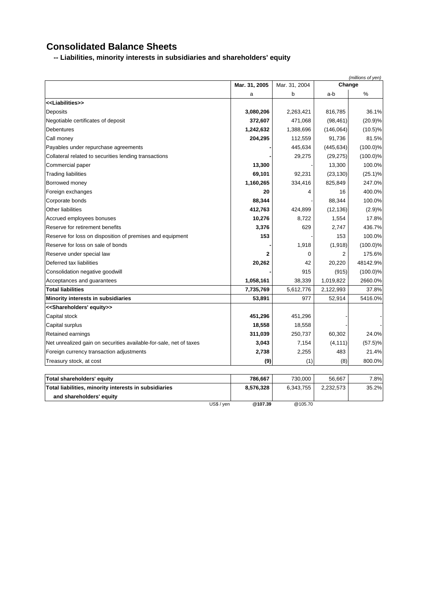# **Consolidated Balance Sheets**

**-- Liabilities, minority interests in subsidiaries and shareholders' equity**

|                                                                    | (millions of yen) |               |            |             |
|--------------------------------------------------------------------|-------------------|---------------|------------|-------------|
|                                                                    | Mar. 31, 2005     | Mar. 31, 2004 | Change     |             |
|                                                                    | a                 | b             | a-b        | $\%$        |
| < <liabilities>&gt;</liabilities>                                  |                   |               |            |             |
| Deposits                                                           | 3,080,206         | 2,263,421     | 816,785    | 36.1%       |
| Negotiable certificates of deposit                                 | 372,607           | 471,068       | (98, 461)  | (20.9)%     |
| <b>Debentures</b>                                                  | 1,242,632         | 1,388,696     | (146,064)  | $(10.5)\%$  |
| Call money                                                         | 204,295           | 112,559       | 91,736     | 81.5%       |
| Payables under repurchase agreements                               |                   | 445,634       | (445, 634) | $(100.0)\%$ |
| Collateral related to securities lending transactions              |                   | 29,275        | (29, 275)  | $(100.0)\%$ |
| Commercial paper                                                   | 13,300            |               | 13,300     | 100.0%      |
| <b>Trading liabilities</b>                                         | 69,101            | 92,231        | (23, 130)  | $(25.1)\%$  |
| Borrowed money                                                     | 1,160,265         | 334,416       | 825,849    | 247.0%      |
| Foreign exchanges                                                  | 20                | 4             | 16         | 400.0%      |
| Corporate bonds                                                    | 88,344            |               | 88,344     | 100.0%      |
| Other liabilities                                                  | 412,763           | 424,899       | (12, 136)  | (2.9)%      |
| Accrued employees bonuses                                          | 10,276            | 8,722         | 1,554      | 17.8%       |
| Reserve for retirement benefits                                    | 3,376             | 629           | 2,747      | 436.7%      |
| Reserve for loss on disposition of premises and equipment          | 153               |               | 153        | 100.0%      |
| Reserve for loss on sale of bonds                                  |                   | 1,918         | (1,918)    | $(100.0)\%$ |
| Reserve under special law                                          | 2                 | 0             | 2          | 175.6%      |
| Deferred tax liabilities                                           | 20,262            | 42            | 20,220     | 48142.9%    |
| Consolidation negative goodwill                                    |                   | 915           | (915)      | $(100.0)\%$ |
| Acceptances and guarantees                                         | 1,058,161         | 38,339        | 1,019,822  | 2660.0%     |
| <b>Total liabilities</b>                                           | 7,735,769         | 5,612,776     | 2,122,993  | 37.8%       |
| Minority interests in subsidiaries                                 | 53,891            | 977           | 52,914     | 5416.0%     |
| < <shareholders' equity="">&gt;</shareholders'>                    |                   |               |            |             |
| Capital stock                                                      | 451,296           | 451,296       |            |             |
| Capital surplus                                                    | 18,558            | 18,558        |            |             |
| Retained earnings                                                  | 311,039           | 250,737       | 60,302     | 24.0%       |
| Net unrealized gain on securities available-for-sale, net of taxes | 3,043             | 7,154         | (4, 111)   | $(57.5)\%$  |
| Foreign currency transaction adjustments                           | 2,738             | 2,255         | 483        | 21.4%       |
| Treasury stock, at cost                                            | (9)               | (1)           | (8)        | 800.0%      |
|                                                                    |                   |               |            |             |
| <b>Total shareholders' equity</b>                                  | 786,667           | 730,000       | 56,667     | 7.8%        |
| Total liabilities, minority interests in subsidiaries              | 8,576,328         | 6,343,755     | 2,232,573  | 35.2%       |
| and shareholders' equity                                           |                   |               |            |             |

US\$ / yen **@107.39** @105.70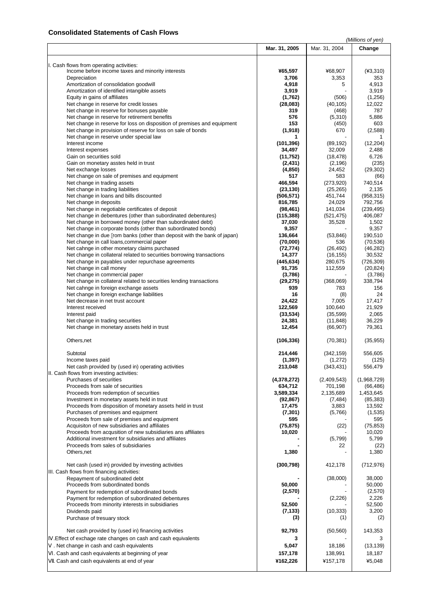### **Consolidated Statements of Cash Flows**

|                                                                                                              |                     |                  | (Millions of yen)   |
|--------------------------------------------------------------------------------------------------------------|---------------------|------------------|---------------------|
|                                                                                                              | Mar. 31, 2005       | Mar. 31, 2004    | Change              |
|                                                                                                              |                     |                  |                     |
|                                                                                                              |                     |                  |                     |
| I. Cash flows from operating activities:                                                                     |                     |                  |                     |
| Income before income taxes and minority interests<br>Depreciation                                            | ¥65,597             | ¥68,907          | $(*3,310)$<br>353   |
| Amortization of consolidation goodwill                                                                       | 3,706<br>4,918      | 3,353<br>5       | 4,913               |
| Amortization of identified intangible assets                                                                 | 3,919               |                  | 3,919               |
| Equity in gains of affiliates                                                                                | (1,762)             | (506)            | (1,256)             |
| Net change in reserve for credit losses                                                                      | (28,083)            | (40, 105)        | 12,022              |
| Net change in reserve for bonuses payable                                                                    | 319                 | (468)            | 787                 |
| Net change in reserve for retirement benefits                                                                | 576                 | (5,310)          | 5,886               |
| Net change in reserve for loss on disposition of premises and equipment                                      | 153                 | (450)            | 603                 |
| Net change in provision of reserve for loss on sale of bonds                                                 | (1,918)             | 670              | (2,588)             |
| Net change in reserve under special law                                                                      | 1                   |                  | 1                   |
| Interest income                                                                                              | (101, 396)          | (89, 192)        | (12, 204)           |
| Interest expenses                                                                                            | 34,497              | 32,009           | 2,488               |
| Gain on securities sold                                                                                      | (11,752)            | (18, 478)        | 6,726               |
| Gain on monetary asstes held in trust                                                                        | (2, 431)            | (2, 196)         | (235)               |
| Net exchange losses                                                                                          | (4, 850)            | 24,452           | (29, 302)           |
| Net change on sale of premises and equipment                                                                 | 517                 | 583              | (66)                |
| Net change in trading assets                                                                                 | 466,594             | (273, 920)       | 740,514             |
| Net change in trading liabilities                                                                            | (23, 130)           | (25, 265)        | 2,135               |
| Net change in loans and bills discounted                                                                     | (506,571)           | 451,744          | (958, 315)          |
| Net change in deposits                                                                                       | 816,785             | 24,029           | 792,756             |
| Net change in negotiable certificates of deposit                                                             | (98, 461)           | 141,034          | (239, 495)          |
| Net change in debentures (other than subordinated debentures)                                                | (115, 388)          | (521, 475)       | 406,087             |
| Net change in borrowed money (other than subordinated debt)                                                  | 37,030              | 35,528           | 1,502               |
| Net change in corporate bonds (other than subordinated bonds)                                                | 9,357               |                  | 9,357               |
| Net change in due rom banks (other than deposit with the bank of japan)                                      | 136,664             | (53, 846)        | 190,510             |
| Net change in call loans, commercial paper                                                                   | (70,000)            | 536              | (70, 536)           |
| Net cahnge in other monetary claims purchased                                                                | (72, 774)           | (26, 492)        | (46, 282)           |
| Net change in collateral related to securities borrowing transactions                                        | 14,377              | (16, 155)        | 30,532              |
| Net change in payables under repurchase agreements                                                           | (445, 634)          | 280,675          | (726, 309)          |
| Net change in call money                                                                                     | 91,735              | 112,559          | (20, 824)           |
| Net change in commercial paper                                                                               | (3,786)             |                  | (3,786)             |
| Net change in collateral related to securities lending transactions                                          | (29, 275)           | (368,069)        | 338,794             |
| Net cahnge in foreign exchange assets                                                                        | 939                 | 783              | 156                 |
| Net change in foreign exchange liabilities<br>Net decrease in net trust account                              | 16<br>24,422        | (8)              | 24<br>17,417        |
| Interest received                                                                                            | 122,569             | 7,005<br>100,640 | 21,929              |
| Interest paid                                                                                                | (33, 534)           | (35, 599)        | 2,065               |
| Net change in trading securities                                                                             | 24,381              | (11, 848)        | 36,229              |
| Net change in monetary assets held in trust                                                                  | 12,454              | (66, 907)        | 79,361              |
|                                                                                                              |                     |                  |                     |
| Others,net                                                                                                   | (106, 336)          | (70, 381)        | (35, 955)           |
|                                                                                                              |                     |                  |                     |
| Subtotal                                                                                                     | 214.446             | (342, 159)       | 556,605             |
| Income taxes paid                                                                                            | (1, 397)            | (1, 272)         | (125)               |
| Net cash provided by (used in) operating activities                                                          | 213,048             | (343, 431)       | 556,479             |
| II. Cash flows from investing activities:                                                                    |                     |                  |                     |
| Purchases of securities                                                                                      | (4,378,272)         | (2,409,543)      | (1,968,729)         |
| Proceeds from sale of securities                                                                             | 634,712             | 701,198          | (66, 486)           |
| Proceeds from redemption of securities                                                                       | 3,589,334           | 2,135,689        | 1,453,645           |
| Investment in monetary assets held in trust                                                                  | (92, 867)           | (7, 484)         | (85, 383)           |
| Proceeds from disposition of monetary assets held in trust                                                   | 17,475              | 3,883            | 13,592              |
| Purchases of premises and equipment                                                                          | (7, 301)            | (5,766)          | (1,535)             |
| Proceeds from sale of premises and equipment                                                                 | 595                 |                  | 595                 |
| Acquisiton of new subsidiaries and affiliates<br>Proceeds from acqusition of new subsidiaries ans affiliates | (75, 875)<br>10,020 | (22)             | (75, 853)<br>10,020 |
| Additional investment for subsidiaries and affiliates                                                        |                     | (5,799)          | 5,799               |
| Proceeds from sales of subsidiaries                                                                          |                     | 22               | (22)                |
| Others,net                                                                                                   | 1,380               |                  | 1,380               |
|                                                                                                              |                     |                  |                     |
| Net cash (used in) provided by investing activities                                                          | (300, 798)          | 412,178          | (712, 976)          |
| III. Cash flows from financing activities:                                                                   |                     |                  |                     |
| Repayment of subordinated debt                                                                               |                     | (38,000)         | 38,000              |
| Proceeds from subordinated bonds                                                                             | 50,000              |                  | 50,000              |
| Payment for redemption of subordinated bonds                                                                 | (2,570)             |                  | (2,570)             |
| Payment for redemption of subordinated debentures                                                            |                     | (2,226)          | 2,226               |
| Proceeds from minority interests in subsidiaries                                                             | 52,500              |                  | 52,500              |
| Dividends paid                                                                                               | (7, 133)            | (10, 333)        | 3,200               |
| Purchase of tresuary stock                                                                                   | (3)                 | (1)              | (2)                 |
| Net cash provided by (used in) financing activities                                                          | 92,793              | (50, 560)        | 143,353             |
|                                                                                                              | 3                   |                  |                     |
| .Effect of exchage rate changes on cash and cash equivalents                                                 |                     |                  | 3                   |
| . Net change in cash and cash equivalents                                                                    | 5,047               | 18,186           | (13, 139)           |
| . Cash and cash equivalents at beginning of year                                                             | 157,178             | 138,991          | 18,187              |
| . Cash and cash equivalents at end of year                                                                   | ¥162,226            | ¥157,178         | ¥5,048              |
|                                                                                                              |                     |                  |                     |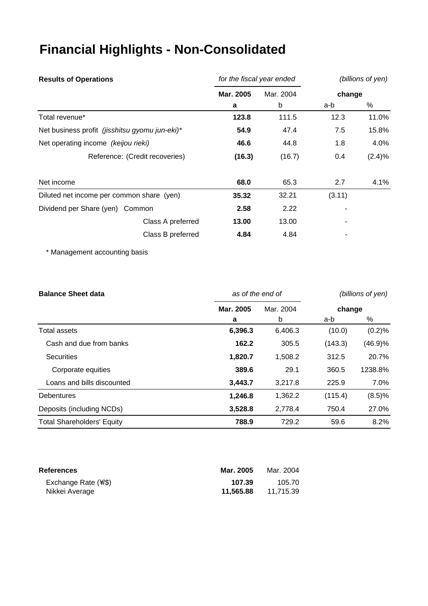# **Financial Highlights - Non-Consolidated**

| <b>Results of Operations</b>                   | for the fiscal year ended |           | (billions of yen) |        |
|------------------------------------------------|---------------------------|-----------|-------------------|--------|
|                                                | Mar. 2005                 | Mar. 2004 | change            |        |
|                                                | a                         | b         | a-b               | %      |
| Total revenue*                                 | 123.8                     | 111.5     | 12.3              | 11.0%  |
| Net business profit (jisshitsu gyomu jun-eki)* | 54.9                      | 47.4      | 7.5               | 15.8%  |
| Net operating income (keijou rieki)            | 46.6                      | 44.8      | 1.8               | 4.0%   |
| Reference: (Credit recoveries)                 | (16.3)                    | (16.7)    | 0.4               | (2.4)% |
| Net income                                     | 68.0                      | 65.3      | 2.7               | 4.1%   |
| Diluted net income per common share (yen)      | 35.32                     | 32.21     | (3.11)            |        |
| Dividend per Share (yen) Common                | 2.58                      | 2.22      |                   |        |
| Class A preferred                              | 13.00                     | 13.00     |                   |        |
| Class B preferred                              | 4.84                      | 4.84      |                   |        |

\* Management accounting basis

| <b>Balance Sheet data</b>         | as of the end of |           | (billions of yen) |         |
|-----------------------------------|------------------|-----------|-------------------|---------|
|                                   | Mar. 2005        | Mar. 2004 | change            |         |
|                                   | a                | b         | a-b               | %       |
| Total assets                      | 6,396.3          | 6,406.3   | (10.0)            | (0.2)%  |
| Cash and due from banks           | 162.2            | 305.5     | (143.3)           | (46.9)% |
| <b>Securities</b>                 | 1,820.7          | 1,508.2   | 312.5             | 20.7%   |
| Corporate equities                | 389.6            | 29.1      | 360.5             | 1238.8% |
| Loans and bills discounted        | 3,443.7          | 3,217.8   | 225.9             | 7.0%    |
| <b>Debentures</b>                 | 1,246.8          | 1,362.2   | (115.4)           | (8.5)%  |
| Deposits (including NCDs)         | 3,528.8          | 2,778.4   | 750.4             | 27.0%   |
| <b>Total Shareholders' Equity</b> | 788.9            | 729.2     | 59.6              | 8.2%    |

| <b>References</b>           | Mar. 2005 | Mar. 2004 |
|-----------------------------|-----------|-----------|
| Exchange Rate $(\sqrt{\$})$ | 107.39    | 105.70    |
| Nikkei Average              | 11.565.88 | 11.715.39 |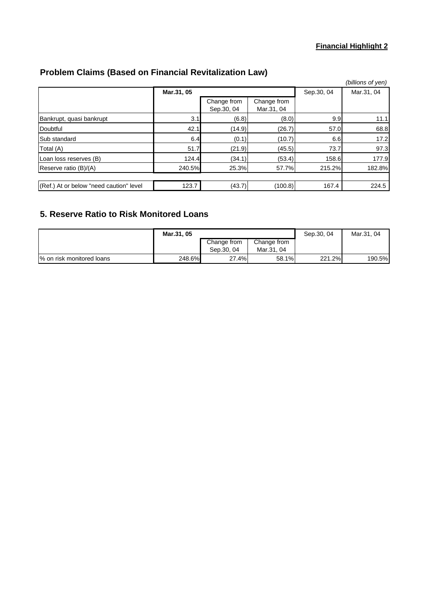## **Financial Highlight 2**

# **Problem Claims (Based on Financial Revitalization Law)**

|                                         |            |                           |                           |            | (billions of yen) |
|-----------------------------------------|------------|---------------------------|---------------------------|------------|-------------------|
|                                         | Mar.31, 05 |                           |                           | Sep.30, 04 | Mar.31, 04        |
|                                         |            | Change from<br>Sep.30, 04 | Change from<br>Mar.31, 04 |            |                   |
| Bankrupt, quasi bankrupt                | 3.1        | (6.8)                     | (8.0)                     | 9.9        | 11.1              |
| Doubtful                                | 42.1       | (14.9)                    | (26.7)                    | 57.0       | 68.8              |
| Sub standard                            | 6.4        | (0.1)                     | (10.7)                    | 6.6        | 17.2              |
| Total (A)                               | 51.7       | (21.9)                    | (45.5)                    | 73.7       | 97.3              |
| Loan loss reserves (B)                  | 124.4      | (34.1)                    | (53.4)                    | 158.6      | 177.9             |
| Reserve ratio (B)/(A)                   | 240.5%     | 25.3%                     | 57.7%                     | 215.2%     | 182.8%            |
|                                         |            |                           |                           |            |                   |
| (Ref.) At or below "need caution" level | 123.7      | (43.7)                    | (100.8)                   | 167.4      | 224.5             |

# **5. Reserve Ratio to Risk Monitored Loans**

|                           | Mar.31, 05 |                           |                           | Sep.30, 04 | Mar.31, 04 |
|---------------------------|------------|---------------------------|---------------------------|------------|------------|
|                           |            | Change from<br>Sep.30, 04 | Change from<br>Mar.31, 04 |            |            |
| % on risk monitored loans | 248.6%     | 27.4%                     | 58.1%                     | 221.2%     | 190.5%     |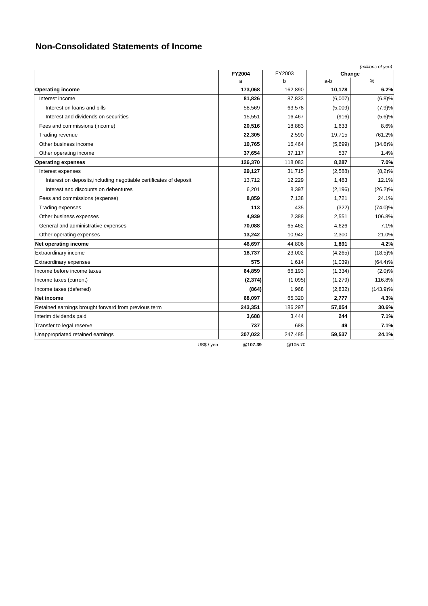# **Non-Consolidated Statements of Income**

|                                                                    |               |              |               | (millions of yen) |
|--------------------------------------------------------------------|---------------|--------------|---------------|-------------------|
|                                                                    | <b>FY2004</b> | FY2003       | Change        |                   |
| <b>Operating income</b>                                            | a<br>173,068  | b<br>162,890 | a-b<br>10,178 | $\%$<br>6.2%      |
| Interest income                                                    | 81,826        | 87,833       | (6,007)       | (6.8)%            |
|                                                                    |               |              |               |                   |
| Interest on loans and bills                                        | 58,569        | 63,578       | (5,009)       | (7.9)%            |
| Interest and dividends on securities                               | 15,551        | 16,467       | (916)         | (5.6)%            |
| Fees and commissions (income)                                      | 20,516        | 18,883       | 1,633         | 8.6%              |
| Trading revenue                                                    | 22,305        | 2,590        | 19,715        | 761.2%            |
| Other business income                                              | 10,765        | 16,464       | (5,699)       | $(34.6)\%$        |
| Other operating income                                             | 37,654        | 37,117       | 537           | 1.4%              |
| <b>Operating expenses</b>                                          | 126,370       | 118,083      | 8,287         | 7.0%              |
| Interest expenses                                                  | 29,127        | 31,715       | (2,588)       | $(8,2)\%$         |
| Interest on deposits, including negotiable certificates of deposit | 13,712        | 12,229       | 1,483         | 12.1%             |
| Interest and discounts on debentures                               | 6,201         | 8,397        | (2, 196)      | $(26.2)\%$        |
| Fees and commissions (expense)                                     | 8.859         | 7,138        | 1.721         | 24.1%             |
| <b>Trading expenses</b>                                            | 113           | 435          | (322)         | $(74.0)\%$        |
| Other business expenses                                            | 4,939         | 2,388        | 2,551         | 106.8%            |
| General and administrative expenses                                | 70,088        | 65,462       | 4,626         | 7.1%              |
| Other operating expenses                                           | 13,242        | 10,942       | 2,300         | 21.0%             |
| Net operating income                                               | 46,697        | 44,806       | 1,891         | 4.2%              |
| <b>Extraordinary income</b>                                        | 18,737        | 23,002       | (4, 265)      | $(18.5)\%$        |
| <b>Extraordinary expenses</b>                                      | 575           | 1,614        | (1,039)       | $(64.4)\%$        |
| Income before income taxes                                         | 64,859        | 66,193       | (1, 334)      | (2.0)%            |
| Income taxes (current)                                             | (2, 374)      | (1,095)      | (1, 279)      | 116.8%            |
| Income taxes (deferred)                                            | (864)         | 1,968        | (2,832)       | $(143.9)\%$       |
| Net income                                                         | 68,097        | 65,320       | 2,777         | 4.3%              |
| Retained earnings brought forward from previous term               | 243,351       | 186,297      | 57,054        | 30.6%             |
| Interim dividends paid                                             | 3,688         | 3,444        | 244           | 7.1%              |
| Transfer to legal reserve                                          | 737           | 688          | 49            | 7.1%              |
| Unappropriated retained earnings                                   | 307,022       | 247,485      | 59,537        | 24.1%             |
| US\$ / yen                                                         | @107.39       | @105.70      |               |                   |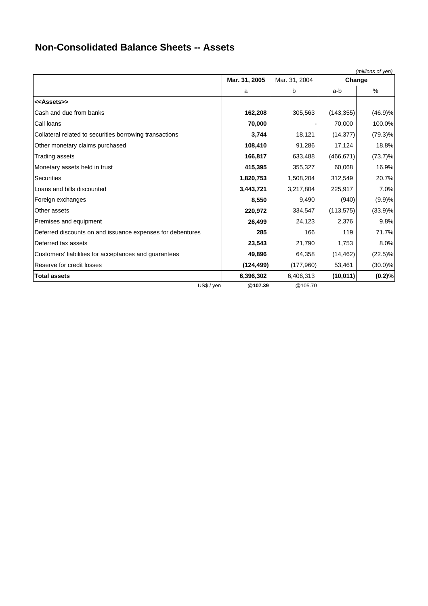# **Non-Consolidated Balance Sheets -- Assets**

| (millions of yen)                                          |               |               |            |            |  |
|------------------------------------------------------------|---------------|---------------|------------|------------|--|
|                                                            | Mar. 31, 2005 | Mar. 31, 2004 | Change     |            |  |
|                                                            | a             | b             | a-b        | %          |  |
| < <assets>&gt;</assets>                                    |               |               |            |            |  |
| Cash and due from banks                                    | 162,208       | 305,563       | (143, 355) | (46.9)%    |  |
| Call Ioans                                                 | 70,000        |               | 70,000     | 100.0%     |  |
| Collateral related to securities borrowing transactions    | 3,744         | 18,121        | (14, 377)  | $(79.3)\%$ |  |
| Other monetary claims purchased                            | 108,410       | 91,286        | 17,124     | 18.8%      |  |
| <b>Trading assets</b>                                      | 166,817       | 633,488       | (466, 671) | $(73.7)\%$ |  |
| Monetary assets held in trust                              | 415,395       | 355,327       | 60,068     | 16.9%      |  |
| Securities                                                 | 1,820,753     | 1,508,204     | 312,549    | 20.7%      |  |
| Loans and bills discounted                                 | 3,443,721     | 3,217,804     | 225,917    | 7.0%       |  |
| Foreign exchanges                                          | 8,550         | 9,490         | (940)      | (9.9)%     |  |
| Other assets                                               | 220,972       | 334,547       | (113, 575) | $(33.9)\%$ |  |
| Premises and equipment                                     | 26,499        | 24,123        | 2,376      | 9.8%       |  |
| Deferred discounts on and issuance expenses for debentures | 285           | 166           | 119        | 71.7%      |  |
| Deferred tax assets                                        | 23,543        | 21,790        | 1,753      | 8.0%       |  |
| Customers' liabilities for acceptances and guarantees      | 49,896        | 64,358        | (14, 462)  | $(22.5)\%$ |  |
| Reserve for credit losses                                  | (124, 499)    | (177,960)     | 53,461     | $(30.0)\%$ |  |
| <b>Total assets</b>                                        | 6,396,302     | 6,406,313     | (10, 011)  | (0.2)%     |  |
| US\$ / yen                                                 | @107.39       | @105.70       |            |            |  |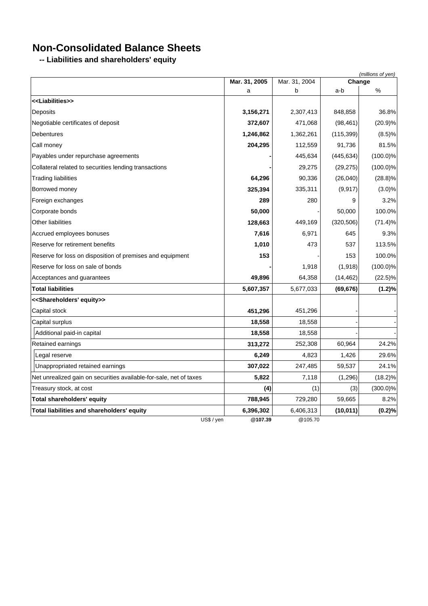# **Non-Consolidated Balance Sheets**

**-- Liabilities and shareholders' equity**

|                                                                    |                    |                    | Change     | (millions of yen) |
|--------------------------------------------------------------------|--------------------|--------------------|------------|-------------------|
|                                                                    | Mar. 31, 2005<br>a | Mar. 31, 2004<br>b | a-b        | $\%$              |
| < <liabilities>&gt;</liabilities>                                  |                    |                    |            |                   |
| Deposits                                                           | 3,156,271          | 2,307,413          | 848,858    | 36.8%             |
| Negotiable certificates of deposit                                 | 372,607            | 471,068            | (98, 461)  | (20.9)%           |
| <b>Debentures</b>                                                  | 1,246,862          | 1,362,261          | (115, 399) | (8.5)%            |
| Call money                                                         | 204,295            | 112,559            | 91,736     | 81.5%             |
| Payables under repurchase agreements                               |                    | 445,634            | (445, 634) | $(100.0)\%$       |
| Collateral related to securities lending transactions              |                    | 29,275             | (29, 275)  | $(100.0)\%$       |
| Trading liabilities                                                | 64,296             | 90,336             | (26, 040)  | $(28.8)\%$        |
| Borrowed money                                                     | 325,394            | 335,311            | (9, 917)   | (3.0)%            |
| Foreign exchanges                                                  | 289                | 280                | 9          | 3.2%              |
| Corporate bonds                                                    | 50,000             |                    | 50,000     | 100.0%            |
| Other liabilities                                                  | 128,663            | 449,169            | (320, 506) | (71.4)%           |
| Accrued employees bonuses                                          | 7,616              | 6,971              | 645        | 9.3%              |
| Reserve for retirement benefits                                    | 1,010              | 473                | 537        | 113.5%            |
| Reserve for loss on disposition of premises and equipment          | 153                |                    | 153        | 100.0%            |
| Reserve for loss on sale of bonds                                  |                    | 1,918              | (1,918)    | $(100.0)\%$       |
| Acceptances and guarantees                                         | 49,896             | 64,358             | (14, 462)  | $(22.5)\%$        |
| <b>Total liabilities</b>                                           | 5,607,357          | 5,677,033          | (69, 676)  | (1.2)%            |
| < <shareholders' equity="">&gt;</shareholders'>                    |                    |                    |            |                   |
| Capital stock                                                      | 451,296            | 451,296            |            |                   |
| Capital surplus                                                    | 18,558             | 18,558             |            |                   |
| Additional paid-in capital                                         | 18,558             | 18,558             |            |                   |
| Retained earnings                                                  | 313,272            | 252,308            | 60,964     | 24.2%             |
| Legal reserve                                                      | 6,249              | 4,823              | 1,426      | 29.6%             |
| Unappropriated retained earnings                                   | 307,022            | 247,485            | 59,537     | 24.1%             |
| Net unrealized gain on securities available-for-sale, net of taxes | 5,822              | 7,118              | (1, 296)   | $(18.2)\%$        |
| Treasury stock, at cost                                            | (4)                | (1)                | (3)        | $(300.0)\%$       |
| Total shareholders' equity                                         | 788,945            | 729,280            | 59,665     | 8.2%              |
| Total liabilities and shareholders' equity                         | 6,396,302          | 6,406,313          | (10, 011)  | (0.2)%            |
| US\$ / yen                                                         | @107.39            | @105.70            |            |                   |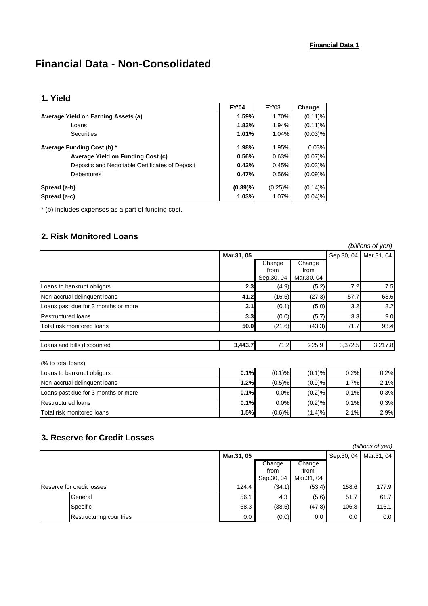# **Financial Data - Non-Consolidated**

### **1. Yield**

|                                                 | <b>FY'04</b> | <b>FY'03</b> | Change     |
|-------------------------------------------------|--------------|--------------|------------|
| Average Yield on Earning Assets (a)             | 1.59%        | 1.70%        | $(0.11)\%$ |
| Loans                                           | 1.83%        | 1.94%        | $(0.11)\%$ |
| <b>Securities</b>                               | 1.01%        | 1.04%        | $(0.03)$ % |
| Average Funding Cost (b) *                      | 1.98%        | 1.95%        | 0.03%      |
| Average Yield on Funding Cost (c)               | 0.56%        | 0.63%        | $(0.07)\%$ |
| Deposits and Negotiable Certificates of Deposit | 0.42%        | 0.45%        | $(0.03)$ % |
| Debentures                                      | 0.47%        | 0.56%        | (0.09)%    |
| Spread (a-b)                                    | $(0.39)\%$   | $(0.25)\%$   | (0.14)%    |
| Spread (a-c)                                    | 1.03%        | 1.07%        | $(0.04)$ % |

\* (b) includes expenses as a part of funding cost.

## **2. Risk Monitored Loans**

|                                     |            |            |            |            | (billions of yen) |
|-------------------------------------|------------|------------|------------|------------|-------------------|
|                                     | Mar.31, 05 |            |            | Sep.30, 04 | Mar.31, 04        |
|                                     |            | Change     | Change     |            |                   |
|                                     |            | from       | from       |            |                   |
|                                     |            | Sep.30, 04 | Mar.30, 04 |            |                   |
| Loans to bankrupt obligors          | 2.3        | (4.9)      | (5.2)      | 7.2        | 7.5               |
| Non-accrual delinquent loans        | 41.2       | (16.5)     | (27.3)     | 57.7       | 68.6              |
| Loans past due for 3 months or more | 3.1        | (0.1)      | (5.0)      | 3.2        | 8.2               |
| <b>Restructured loans</b>           | 3.3        | (0.0)      | (5.7)      | 3.3        | 9.0               |
| Total risk monitored loans          | 50.0       | (21.6)     | (43.3)     | 71.7       | 93.4              |
| Loans and bills discounted          | 3,443.7    | 71.2       | 225.9      | 3,372.5    | 3,217.8           |
| (% to total loans)                  |            |            |            |            |                   |
| Loans to bankrupt obligors          | 0.1%       | (0.1)%     | (0.1)%     | 0.2%       | 0.2%              |
| Non-accrual delinquent loans        | 1.2%       | (0.5)%     | (0.9)%     | 1.7%       | 2.1%              |
| Loans past due for 3 months or more | 0.1%       | 0.0%       | (0.2)%     | 0.1%       | 0.3%              |
| <b>Restructured loans</b>           | 0.1%       | 0.0%       | (0.2)%     | 0.1%       | 0.3%              |
| Total risk monitored loans          | 1.5%       | (0.6)%     | (1.4)%     | 2.1%       | 2.9%              |

## **3. Reserve for Credit Losses**

|                           |            |            |            |            | (billions of yen) |
|---------------------------|------------|------------|------------|------------|-------------------|
|                           | Mar.31, 05 |            |            | Sep.30, 04 | Mar.31, 04        |
|                           |            | Change     | Change     |            |                   |
|                           |            | from       | from       |            |                   |
|                           |            | Sep.30, 04 | Mar.31, 04 |            |                   |
| Reserve for credit losses | 124.4      | (34.1)     | (53.4)     | 158.6      | 177.9             |
| General                   | 56.1       | 4.3        | (5.6)      | 51.7       | 61.7              |
| Specific                  | 68.3       | (38.5)     | (47.8)     | 106.8      | 116.1             |
| Restructuring countries   | 0.0        | (0.0)      | $0.0\,$    | 0.0        | 0.0               |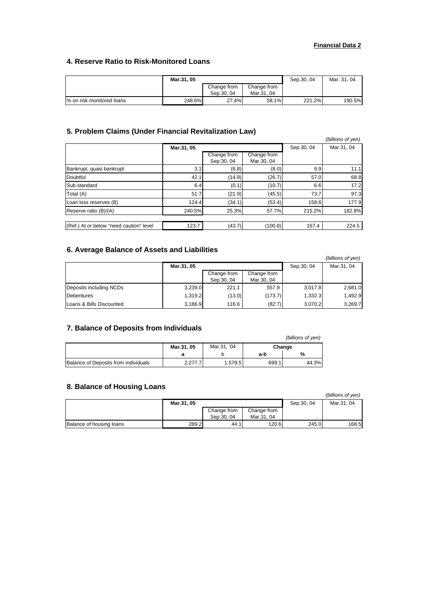### **Financial Data 2**

### **4. Reserve Ratio to Risk-Monitored Loans**

|                           | Mar.31, 05 |             |             | Sep.30, 04 | Mar. 31, 04 |
|---------------------------|------------|-------------|-------------|------------|-------------|
|                           |            | Change from | Change from |            |             |
|                           |            | Sep.30, 04  | Mar.31, 04  |            |             |
| % on risk monitored loans | 248.6%     | 27.4%       | 58.1%       | 221.2%     | 190.5%      |

### **5. Problem Claims (Under Financial Revitalization Law)**

|                                         |            |             |             |            | (billions of yen) |
|-----------------------------------------|------------|-------------|-------------|------------|-------------------|
|                                         | Mar.31, 05 |             |             | Sep.30, 04 | Mar.31, 04        |
|                                         |            | Change from | Change from |            |                   |
|                                         |            | Sep.30, 04  | Mar.30, 04  |            |                   |
| Bankrupt, quasi bankrupt                | 3.1        | (6.8)       | (8.0)       | 9.9        | 11.1              |
| Doubtful                                | 42.1       | (14.9)      | (26.7)      | 57.0       | 68.8              |
| Sub standard                            | 6.4        | (0.1)       | (10.7)      | 6.6        | 17.2              |
| Total (A)                               | 51.7       | (21.9)      | (45.5)      | 73.7       | 97.3              |
| Loan loss reserves (B)                  | 124.4      | (34.1)      | (53.4)      | 158.6      | 177.9             |
| Reserve ratio (B)/(A)                   | 240.5%     | 25.3%       | 57.7%       | 215.2%     | 182.8%            |
|                                         |            |             |             |            |                   |
| (Ref.) At or below "need caution" level | 123.7      | (43.7)      | (100.8)     | 167.4      | 224.5             |

### **6. Average Balance of Assets and Liabilities**

|                          |            |             |             |             | (billions of yen) |
|--------------------------|------------|-------------|-------------|-------------|-------------------|
|                          | Mar.31, 05 |             |             | Sep. 30, 04 | Mar.31, 04        |
|                          |            | Change from | Change from |             |                   |
|                          |            | Sep.30, 04  | Mar.30, 04  |             |                   |
| Deposits including NCDs  | 3,239.0    | 221.1       | 557.9       | 3,017.8     | 2,681.0           |
| Debentures               | 1.319.2    | (13.0)      | (173.7)     | 1,332.3     | 1,492.9           |
| Loans & Bills Discounted | 3,186.9    | 116.6       | (82.7)      | 3.070.2     | 3,269.7           |

### **7. Balance of Deposits from Individuals**

|                                             |            |             |        | (billions of yen) |  |
|---------------------------------------------|------------|-------------|--------|-------------------|--|
|                                             | Mar.31, 05 | Mar.31, '04 | Change |                   |  |
|                                             |            |             | a-b    | %                 |  |
| <b>Balance of Deposits from individuals</b> | 2.277.7    | 1.578.5     | 699.1  | 44.3%             |  |

### **8. Balance of Housing Loans**

|                          |            |             |             |            | (billions of yen) |
|--------------------------|------------|-------------|-------------|------------|-------------------|
|                          | Mar.31, 05 |             |             | Sep.30, 04 | Mar.31, 04        |
|                          |            | Change from | Change from |            |                   |
|                          |            | Sep.30, 04  | Mar.31, 04  |            |                   |
| Balance of housing loans | 289.2      | 44.1        | 120.6       | 245.0      | 168.5             |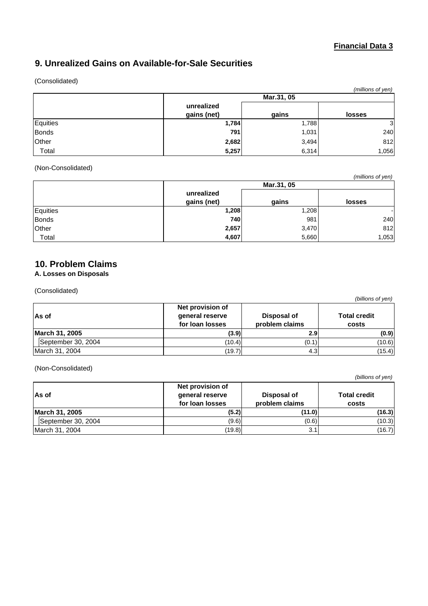## **Financial Data 3**

# **9. Unrealized Gains on Available-for-Sale Securities**

### (Consolidated)

|          |             |       | (millions of yen) |  |  |
|----------|-------------|-------|-------------------|--|--|
|          | Mar.31, 05  |       |                   |  |  |
|          | unrealized  |       |                   |  |  |
|          | gains (net) | gains | <b>losses</b>     |  |  |
| Equities | 1,784       | 1,788 | 3 <sup>l</sup>    |  |  |
| Bonds    | 791         | 1,031 | 240               |  |  |
| Other    | 2,682       | 3,494 | 812               |  |  |
| Total    | 5,257       | 6,314 | 1,056             |  |  |

### (Non-Consolidated)

|              |                           |       | (millions of yen) |  |
|--------------|---------------------------|-------|-------------------|--|
|              | Mar.31, 05                |       |                   |  |
|              | unrealized<br>gains (net) | gains | <b>losses</b>     |  |
|              |                           |       |                   |  |
| Equities     | 1,208                     | 1,208 |                   |  |
| <b>Bonds</b> | 740                       | 981   | 240               |  |
| Other        | 2,657                     | 3,470 | 812               |  |
| Total        | 4,607                     | 5,660 | 1,053             |  |

## **10. Problem Claims**

### **A. Losses on Disposals**

(Consolidated)

| וויט אי וטווישן    |                                                        |                               |                              |  |
|--------------------|--------------------------------------------------------|-------------------------------|------------------------------|--|
| As of              | Net provision of<br>general reserve<br>for loan losses | Disposal of<br>problem claims | <b>Total credit</b><br>costs |  |
| March 31, 2005     | (3.9)                                                  | 2.9                           | (0.9)                        |  |
| September 30, 2004 | (10.4)                                                 | (0.1)                         | (10.6)                       |  |
| March 31, 2004     | (19.7)                                                 | 4.3                           | (15.4)                       |  |

### (Non-Consolidated)

| As of              | Net provision of<br>general reserve<br>for loan losses | Disposal of<br>problem claims | <b>Total credit</b><br>costs |
|--------------------|--------------------------------------------------------|-------------------------------|------------------------------|
| March 31, 2005     | (5.2)                                                  | (11.0)                        | (16.3)                       |
| September 30, 2004 | (9.6)                                                  | (0.6)                         | (10.3)                       |
| March 31, 2004     | (19.8)                                                 | 3.1                           | (16.7)                       |

*(billions of yen)*

*(billions of yen)*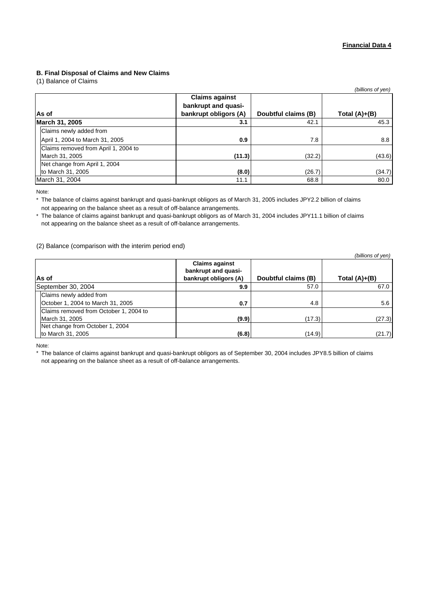### **B. Final Disposal of Claims and New Claims**

(1) Balance of Claims

| $\sim$                               |                                                                       |                     | (billions of yen) |
|--------------------------------------|-----------------------------------------------------------------------|---------------------|-------------------|
| As of                                | <b>Claims against</b><br>bankrupt and quasi-<br>bankrupt obligors (A) | Doubtful claims (B) | Total $(A)+(B)$   |
| March 31, 2005                       | 3.1                                                                   | 42.1                | 45.3              |
| Claims newly added from              |                                                                       |                     |                   |
| April 1, 2004 to March 31, 2005      | 0.9                                                                   | 7.8                 | 8.8               |
| Claims removed from April 1, 2004 to |                                                                       |                     |                   |
| March 31, 2005                       | (11.3)                                                                | (32.2)              | (43.6)            |
| Net change from April 1, 2004        |                                                                       |                     |                   |
| to March 31, 2005                    | (8.0)                                                                 | (26.7)              | (34.7)            |
| March 31, 2004                       | 11.1                                                                  | 68.8                | 80.0              |

Note:

\* The balance of claims against bankrupt and quasi-bankrupt obligors as of March 31, 2005 includes JPY2.2 billion of claims not appearing on the balance sheet as a result of off-balance arrangements.

\* The balance of claims against bankrupt and quasi-bankrupt obligors as of March 31, 2004 includes JPY11.1 billion of claims not appearing on the balance sheet as a result of off-balance arrangements.

#### (2) Balance (comparison with the interim period end)

|                                        |                                                                       |                     | (billions of yen) |
|----------------------------------------|-----------------------------------------------------------------------|---------------------|-------------------|
| As of                                  | <b>Claims against</b><br>bankrupt and quasi-<br>bankrupt obligors (A) | Doubtful claims (B) | Total $(A)+(B)$   |
| September 30, 2004                     | 9.9                                                                   | 57.0                | 67.0              |
| Claims newly added from                |                                                                       |                     |                   |
| October 1, 2004 to March 31, 2005      | 0.7                                                                   | 4.8                 | 5.6               |
| Claims removed from October 1, 2004 to |                                                                       |                     |                   |
| March 31, 2005                         | (9.9)                                                                 | (17.3)              | (27.3)            |
| Net change from October 1, 2004        |                                                                       |                     |                   |
| to March 31, 2005                      | (6.8)                                                                 | (14.9)              | (21.7)            |

Note:

\* The balance of claims against bankrupt and quasi-bankrupt obligors as of September 30, 2004 includes JPY8.5 billion of claims not appearing on the balance sheet as a result of off-balance arrangements.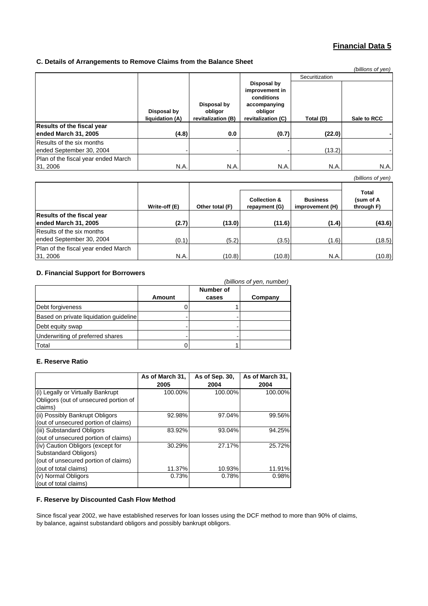### **Financial Data 5**

### **C. Details of Arrangements to Remove Claims from the Balance Sheet**

|                                                       |                                |                                              |                                                                                              |                | (billions of yen) |
|-------------------------------------------------------|--------------------------------|----------------------------------------------|----------------------------------------------------------------------------------------------|----------------|-------------------|
|                                                       |                                |                                              |                                                                                              | Securitization |                   |
|                                                       | Disposal by<br>liquidation (A) | Disposal by<br>obligor<br>revitalization (B) | Disposal by<br>improvement in<br>conditions<br>accompanying<br>obligor<br>revitalization (C) | Total (D)      | Sale to RCC       |
| <b>Results of the fiscal year</b>                     |                                |                                              |                                                                                              |                |                   |
| ended March 31, 2005                                  | (4.8)                          | 0.0                                          | (0.7)                                                                                        | (22.0)         |                   |
| Results of the six months<br>ended September 30, 2004 |                                |                                              |                                                                                              | (13.2)         |                   |
| Plan of the fiscal year ended March<br>31, 2006       | N.A.                           | N.A.                                         | N.A.                                                                                         | N.A.           | <b>N.A.</b>       |

*(billions of yen)*

|                                                           | Write-off (E) | Other total (F) | <b>Collection &amp;</b><br>repayment (G) | <b>Business</b><br>improvement (H) | Total<br>(sum of A<br>through F) |
|-----------------------------------------------------------|---------------|-----------------|------------------------------------------|------------------------------------|----------------------------------|
| <b>Results of the fiscal year</b><br>ended March 31, 2005 | (2.7)         | (13.0)          | (11.6)                                   | (1.4)                              | (43.6)                           |
| Results of the six months<br>ended September 30, 2004     | (0.1)         | (5.2)           | (3.5)                                    | (1.6)                              | (18.5)                           |
| Plan of the fiscal year ended March<br>31, 2006           | N.A.          | (10.8)          | (10.8)                                   | N.A.                               | (10.8)                           |

### **D. Financial Support for Borrowers**

|                                        |        |                    | (billions of yen, number) |
|----------------------------------------|--------|--------------------|---------------------------|
|                                        | Amount | Number of<br>cases | Company                   |
| Debt forgiveness                       |        |                    |                           |
| Based on private liquidation quideline |        |                    |                           |
| Debt equity swap                       |        |                    |                           |
| Underwriting of preferred shares       |        |                    |                           |
| Total                                  |        |                    |                           |

### **E. Reserve Ratio**

|                                       | As of March 31, | As of Sep. 30, | As of March 31, |
|---------------------------------------|-----------------|----------------|-----------------|
|                                       | 2005            | 2004           | 2004            |
| (i) Legally or Virtually Bankrupt     | 100.00%         | 100.00%        | 100.00%         |
| Obligors (out of unsecured portion of |                 |                |                 |
| claims)                               |                 |                |                 |
| (ii) Possibly Bankrupt Obligors       | 92.98%          | 97.04%         | 99.56%          |
| (out of unsecured portion of claims)  |                 |                |                 |
| (iii) Substandard Obligors            | 83.92%          | 93.04%         | 94.25%          |
| (out of unsecured portion of claims)  |                 |                |                 |
| (iv) Caution Obligors (except for     | 30.29%          | 27.17%         | 25.72%          |
| Substandard Obligors)                 |                 |                |                 |
| (out of unsecured portion of claims)  |                 |                |                 |
| (out of total claims)                 | 11.37%          | 10.93%         | 11.91%          |
| (v) Normal Obligors                   | 0.73%           | 0.78%          | 0.98%           |
| (out of total claims)                 |                 |                |                 |

### **F. Reserve by Discounted Cash Flow Method**

Since fiscal year 2002, we have established reserves for loan losses using the DCF method to more than 90% of claims, by balance, against substandard obligors and possibly bankrupt obligors.